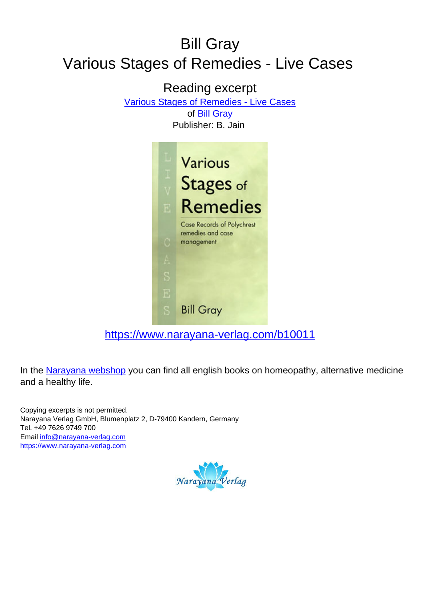# Bill Gray Various Stages of Remedies - Live Cases

### Reading excerpt [Various Stages of Remedies - Live Cases](https://www.narayana-verlag.com/Various-Stages-of-Remedies-Live-Cases-Bill-Gray/b10011/partner/leseprobe) of [Bill Gray](https://www.narayana-verlag.com/Bill-Gray/a1258/partner/leseprobe) Publisher: B. Jain



[https://www.narayana-verlag.com/b10011](https://www.narayana-verlag.com/Various-Stages-of-Remedies-Live-Cases-Bill-Gray/b10011/partner/leseprobe)

In the [Narayana webshop](https://www.narayana-verlag.com/partner/leseprobe) you can find all english books on homeopathy, alternative medicine and a healthy life.

Copying excerpts is not permitted. Narayana Verlag GmbH, Blumenplatz 2, D-79400 Kandern, Germany Tel. +49 7626 9749 700 Email [info@narayana-verlag.com](mailto:info@narayana-verlag.com) [https://www.narayana-verlag.com](https://www.narayana-verlag.com/partner/leseprobe)

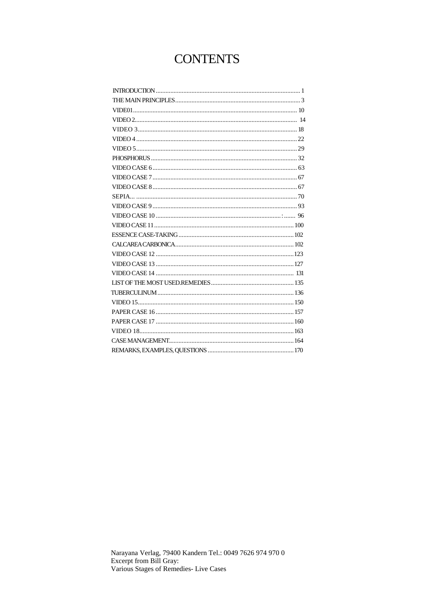## **CONTENTS**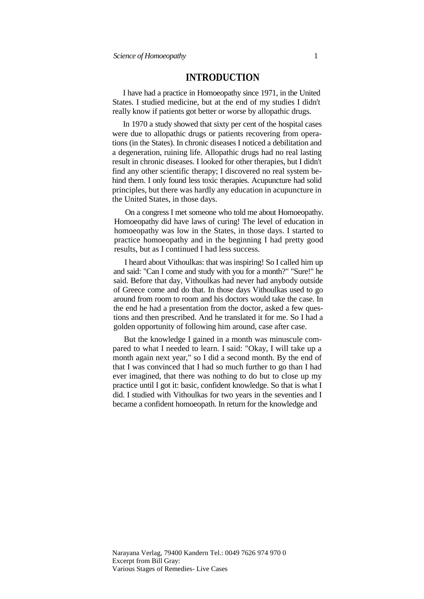#### **INTRODUCTION**

I have had a practice in Homoeopathy since 1971, in the United States. I studied medicine, but at the end of my studies I didn't really know if patients got better or worse by allopathic drugs.

In 1970 a study showed that sixty per cent of the hospital cases were due to allopathic drugs or patients recovering from operations (in the States). In chronic diseases I noticed a debilitation and a degeneration, ruining life. Allopathic drugs had no real lasting result in chronic diseases. I looked for other therapies, but I didn't find any other scientific therapy; I discovered no real system behind them. I only found less toxic therapies. Acupuncture had solid principles, but there was hardly any education in acupuncture in the United States, in those days.

On a congress I met someone who told me about Homoeopathy. Homoeopathy did have laws of curing! The level of education in homoeopathy was low in the States, in those days. I started to practice homoeopathy and in the beginning I had pretty good results, but as I continued I had less success.

I heard about Vithoulkas: that was inspiring! So I called him up and said: "Can I come and study with you for a month?" "Sure!" he said. Before that day, Vithoulkas had never had anybody outside of Greece come and do that. In those days Vithoulkas used to go around from room to room and his doctors would take the case. In the end he had a presentation from the doctor, asked a few questions and then prescribed. And he translated it for me. So I had a golden opportunity of following him around, case after case.

But the knowledge I gained in a month was minuscule compared to what I needed to learn. I said: "Okay, I will take up a month again next year," so I did a second month. By the end of that I was convinced that I had so much further to go than I had ever imagined, that there was nothing to do but to close up my practice until I got it: basic, confident knowledge. So that is what I did. I studied with Vithoulkas for two years in the seventies and I became a confident homoeopath. In return for the knowledge and

Narayana Verlag, 79400 Kandern Tel.: 0049 7626 974 970 0 Excerpt from Bill Gray: Various Stages of Remedies- Live Cases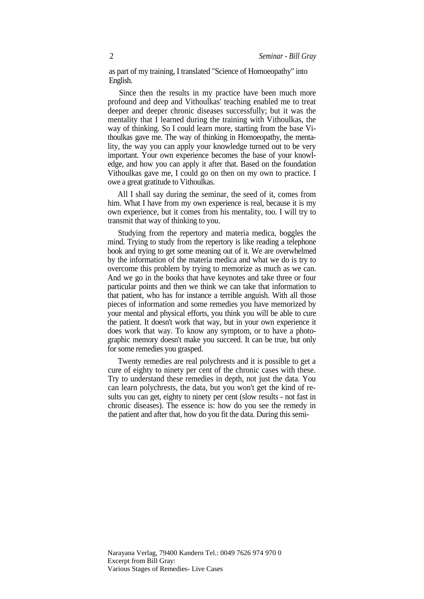as part of my training, I translated "Science of Homoeopathy" into English.

Since then the results in my practice have been much more profound and deep and Vithoulkas' teaching enabled me to treat deeper and deeper chronic diseases successfully; but it was the mentality that I learned during the training with Vithoulkas, the way of thinking. So I could learn more, starting from the base Vithoulkas gave me. The way of thinking in Homoeopathy, the mentality, the way you can apply your knowledge turned out to be very important. Your own experience becomes the base of your knowledge, and how you can apply it after that. Based on the foundation Vithoulkas gave me, I could go on then on my own to practice. I owe a great gratitude to Vithoulkas.

All I shall say during the seminar, the seed of it, comes from him. What I have from my own experience is real, because it is my own experience, but it comes from his mentality, too. I will try to transmit that way of thinking to you.

Studying from the repertory and materia medica, boggles the mind. Trying to study from the repertory is like reading a telephone book and trying to get some meaning out of it. We are overwhelmed by the information of the materia medica and what we do is try to overcome this problem by trying to memorize as much as we can. And we go in the books that have keynotes and take three or four particular points and then we think we can take that information to that patient, who has for instance a terrible anguish. With all those pieces of information and some remedies you have memorized by your mental and physical efforts, you think you will be able to cure the patient. It doesn't work that way, but in your own experience it does work that way. To know any symptom, or to have a photographic memory doesn't make you succeed. It can be true, but only for some remedies you grasped.

Twenty remedies are real polychrests and it is possible to get a cure of eighty to ninety per cent of the chronic cases with these. Try to understand these remedies in depth, not just the data. You can learn polychrests, the data, but you won't get the kind of results you can get, eighty to ninety per cent (slow results - not fast in chronic diseases). The essence is: how do you see the remedy in the patient and after that, how do you fit the data. During this semi-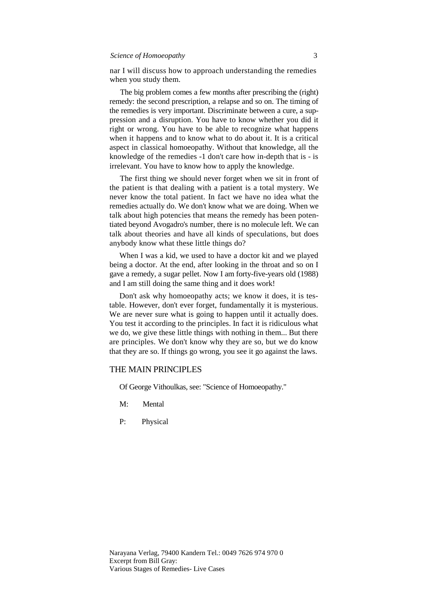#### *Science of Homoeopathy* 3

nar I will discuss how to approach understanding the remedies when you study them.

The big problem comes a few months after prescribing the (right) remedy: the second prescription, a relapse and so on. The timing of the remedies is very important. Discriminate between a cure, a suppression and a disruption. You have to know whether you did it right or wrong. You have to be able to recognize what happens when it happens and to know what to do about it. It is a critical aspect in classical homoeopathy. Without that knowledge, all the knowledge of the remedies -1 don't care how in-depth that is - is irrelevant. You have to know how to apply the knowledge.

The first thing we should never forget when we sit in front of the patient is that dealing with a patient is a total mystery. We never know the total patient. In fact we have no idea what the remedies actually do. We don't know what we are doing. When we talk about high potencies that means the remedy has been potentiated beyond Avogadro's number, there is no molecule left. We can talk about theories and have all kinds of speculations, but does anybody know what these little things do?

When I was a kid, we used to have a doctor kit and we played being a doctor. At the end, after looking in the throat and so on I gave a remedy, a sugar pellet. Now I am forty-five-years old (1988) and I am still doing the same thing and it does work!

Don't ask why homoeopathy acts; we know it does, it is testable. However, don't ever forget, fundamentally it is mysterious. We are never sure what is going to happen until it actually does. You test it according to the principles. In fact it is ridiculous what we do, we give these little things with nothing in them... But there are principles. We don't know why they are so, but we do know that they are so. If things go wrong, you see it go against the laws.

#### THE MAIN PRINCIPLES

Of George Vithoulkas, see: "Science of Homoeopathy."

- M: Mental
- P: Physical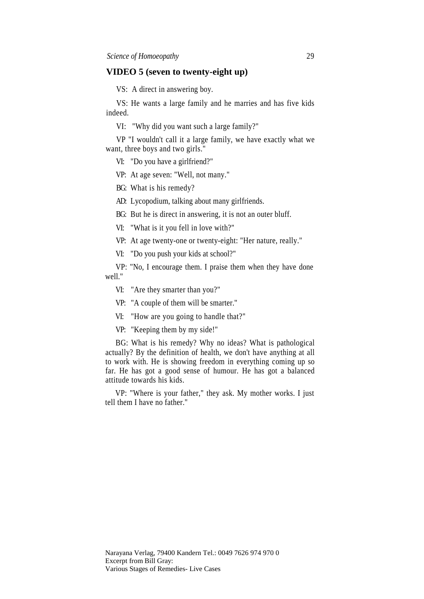#### **VIDEO 5 (seven to twenty-eight up)**

VS: A direct in answering boy.

VS: He wants a large family and he marries and has five kids indeed.

VI: "Why did you want such a large family?"

VP "I wouldn't call it a large family, we have exactly what we want, three boys and two girls."

VI: "Do you have a girlfriend?"

VP: At age seven: "Well, not many."

BG: What is his remedy?

AD: Lycopodium, talking about many girlfriends.

BG: But he is direct in answering, it is not an outer bluff.

VI: "What is it you fell in love with?"

VP: At age twenty-one or twenty-eight: "Her nature, really."

VI: "Do you push your kids at school?"

VP: "No, I encourage them. I praise them when they have done well."

VI: "Are they smarter than you?"

VP: "A couple of them will be smarter."

VI: "How are you going to handle that?"

VP: "Keeping them by my side!"

BG: What is his remedy? Why no ideas? What is pathological actually? By the definition of health, we don't have anything at all to work with. He is showing freedom in everything coming up so far. He has got a good sense of humour. He has got a balanced attitude towards his kids.

VP: "Where is your father," they ask. My mother works. I just tell them I have no father."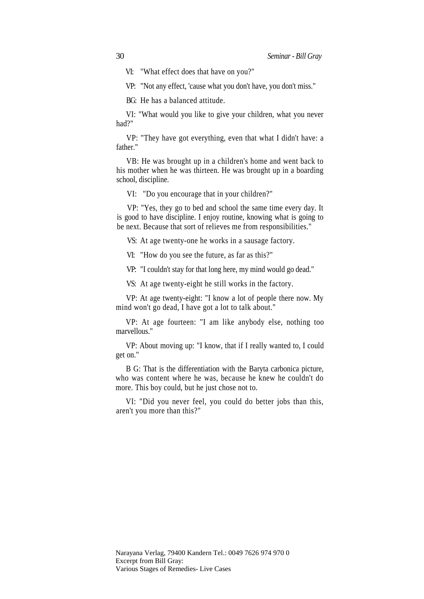VI: "What effect does that have on you?"

VP: "Not any effect, 'cause what you don't have, you don't miss."

BG: He has a balanced attitude.

VI: "What would you like to give your children, what you never had?"

VP: "They have got everything, even that what I didn't have: a father."

VB: He was brought up in a children's home and went back to his mother when he was thirteen. He was brought up in a boarding school, discipline.

VI: "Do you encourage that in your children?"

VP: "Yes, they go to bed and school the same time every day. It is good to have discipline. I enjoy routine, knowing what is going to be next. Because that sort of relieves me from responsibilities."

VS: At age twenty-one he works in a sausage factory.

VI: "How do you see the future, as far as this?"

VP: "I couldn't stay for that long here, my mind would go dead."

VS: At age twenty-eight he still works in the factory.

VP: At age twenty-eight: "I know a lot of people there now. My mind won't go dead, I have got a lot to talk about."

VP: At age fourteen: "I am like anybody else, nothing too marvellous."

VP: About moving up: "I know, that if I really wanted to, I could get on."

B G: That is the differentiation with the Baryta carbonica picture, who was content where he was, because he knew he couldn't do more. This boy could, but he just chose not to.

VI: "Did you never feel, you could do better jobs than this, aren't you more than this?"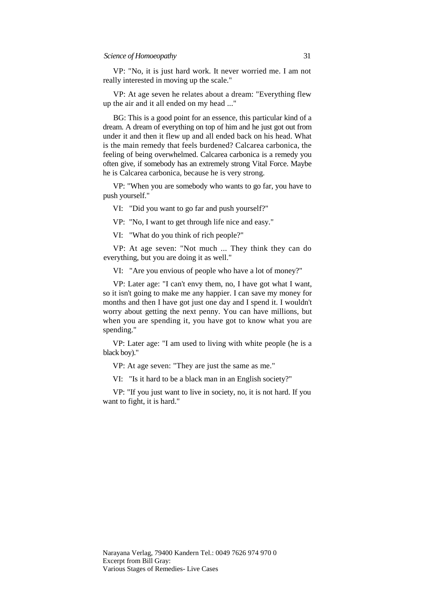VP: "No, it is just hard work. It never worried me. I am not really interested in moving up the scale."

VP: At age seven he relates about a dream: "Everything flew up the air and it all ended on my head ..."

BG: This is a good point for an essence, this particular kind of a dream. A dream of everything on top of him and he just got out from under it and then it flew up and all ended back on his head. What is the main remedy that feels burdened? Calcarea carbonica, the feeling of being overwhelmed. Calcarea carbonica is a remedy you often give, if somebody has an extremely strong Vital Force. Maybe he is Calcarea carbonica, because he is very strong.

VP: "When you are somebody who wants to go far, you have to push yourself."

VI: "Did you want to go far and push yourself?"

VP: "No, I want to get through life nice and easy."

VI: "What do you think of rich people?"

VP: At age seven: "Not much ... They think they can do everything, but you are doing it as well."

VI: "Are you envious of people who have a lot of money?"

VP: Later age: "I can't envy them, no, I have got what I want, so it isn't going to make me any happier. I can save my money for months and then I have got just one day and I spend it. I wouldn't worry about getting the next penny. You can have millions, but when you are spending it, you have got to know what you are spending."

VP: Later age: "I am used to living with white people (he is a black boy)."

VP: At age seven: "They are just the same as me."

VI: "Is it hard to be a black man in an English society?"

VP: "If you just want to live in society, no, it is not hard. If you want to fight, it is hard."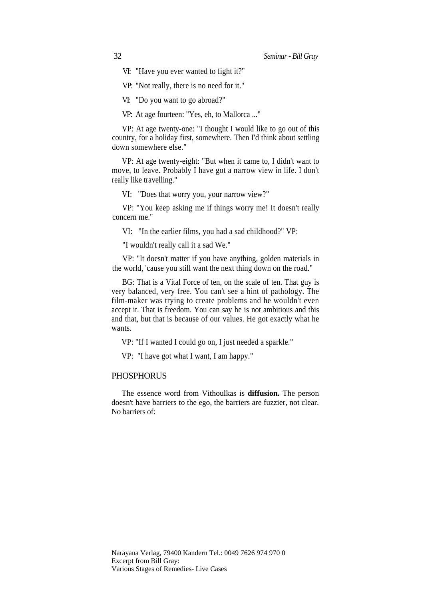VI: "Have you ever wanted to fight it?"

VP: "Not really, there is no need for it."

VI: "Do you want to go abroad?"

VP: At age fourteen: "Yes, eh, to Mallorca ..."

VP: At age twenty-one: "I thought I would like to go out of this country, for a holiday first, somewhere. Then I'd think about settling down somewhere else."

VP: At age twenty-eight: "But when it came to, I didn't want to move, to leave. Probably I have got a narrow view in life. I don't really like travelling."

VI: "Does that worry you, your narrow view?"

VP: "You keep asking me if things worry me! It doesn't really concern me."

VI: "In the earlier films, you had a sad childhood?" VP:

"I wouldn't really call it a sad We."

VP: "It doesn't matter if you have anything, golden materials in the world, 'cause you still want the next thing down on the road."

BG: That is a Vital Force of ten, on the scale of ten. That guy is very balanced, very free. You can't see a hint of pathology. The film-maker was trying to create problems and he wouldn't even accept it. That is freedom. You can say he is not ambitious and this and that, but that is because of our values. He got exactly what he wants.

VP: "If I wanted I could go on, I just needed a sparkle."

VP: "I have got what I want, I am happy."

#### **PHOSPHORUS**

The essence word from Vithoulkas is **diffusion.** The person doesn't have barriers to the ego, the barriers are fuzzier, not clear. No barriers of: